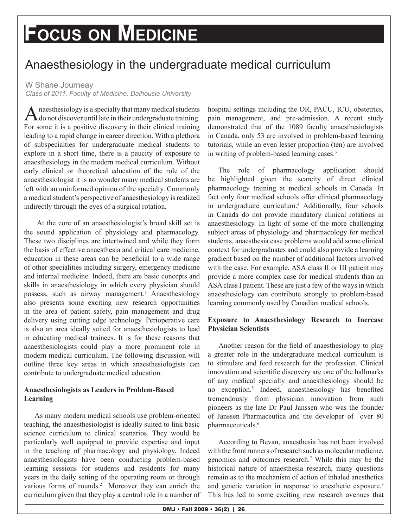# **Focus on Medicine**

# Anaesthesiology in the undergraduate medical curriculum

W Shane Journeay

*Class of 2011, Faculty of Medicine, Dalhousie University*

A naesthesiology is a specialty that many medical students<br>
do not discover until late in their undergraduate training. For some it is a positive discovery in their clinical training leading to a rapid change in career direction. With a plethora of subspecialties for undergraduate medical students to explore in a short time, there is a paucity of exposure to anaesthesiology in the modern medical curriculum. Without early clinical or theoretical education of the role of the anaesthesiologist it is no wonder many medical students are left with an uninformed opinion of the specialty. Commonly a medical student's perspective of anaesthesiology is realized indirectly through the eyes of a surgical rotation.

 At the core of an anaesthesiologist's broad skill set is the sound application of physiology and pharmacology. These two disciplines are intertwined and while they form the basis of effective anaesthesia and critical care medicine, education in these areas can be beneficial to a wide range of other specialities including surgery, emergency medicine and internal medicine. Indeed, there are basic concepts and skills in anaesthesiology in which every physician should possess, such as airway management.<sup>1</sup> Anaesthesiology also presents some exciting new research opportunities in the area of patient safety, pain management and drug delivery using cutting edge technology. Perioperative care is also an area ideally suited for anaesthesiologists to lead in educating medical trainees. It is for these reasons that anaesthesiologists could play a more prominent role in modern medical curriculum. The following discussion will outline three key areas in which anaesthesiologists can contribute to undergraduate medical education.

### **Anaesthesiologists as Leaders in Problem-Based Learning**

As many modern medical schools use problem-oriented teaching, the anaesthesiologist is ideally suited to link basic science curriculum to clinical scenarios. They would be particularly well equipped to provide expertise and input in the teaching of pharmacology and physiology. Indeed anaesthesiologists have been conducting problem-based learning sessions for students and residents for many years in the daily setting of the operating room or through various forms of rounds.<sup>2</sup> Moreover they can enrich the curriculum given that they play a central role in a number of hospital settings including the OR, PACU, ICU, obstetrics, pain management, and pre-admission. A recent study demonstrated that of the 1089 faculty anaesthesiologists in Canada, only 53 are involved in problem-based learning tutorials, while an even lesser proportion (ten) are involved in writing of problem-based learning cases.3

The role of pharmacology application should be highlighted given the scarcity of direct clinical pharmacology training at medical schools in Canada. In fact only four medical schools offer clinical pharmacology in undergraduate curriculum.<sup>4</sup> Additionally, four schools in Canada do not provide mandatory clinical rotations in anaesthesiology. In light of some of the more challenging subject areas of physiology and pharmacology for medical students, anaesthesia case problems would add some clinical context for undergraduates and could also provide a learning gradient based on the number of additional factors involved with the case. For example, ASA class II or III patient may provide a more complex case for medical students than an ASA class I patient. These are just a few of the ways in which anaesthesiology can contribute strongly to problem-based learning commonly used by Canadian medical schools.

## **Exposure to Anaesthesiology Research to Increase Physician Scientists**

Another reason for the field of anaesthesiology to play a greater role in the undergraduate medical curriculum is to stimulate and feed research for the profession. Clinical innovation and scientific discovery are one of the hallmarks of any medical specialty and anaesthesiology should be no exception.5 Indeed, anaesthesiology has benefited tremendously from physician innovation from such pioneers as the late Dr Paul Janssen who was the founder of Janssen Pharmaceutica and the developer of over 80 pharmaceuticals.<sup>6</sup>

According to Bevan, anaesthesia has not been involved with the front runners of research such as molecular medicine, genomics and outcomes research.7 While this may be the historical nature of anaesthesia research, many questions remain as to the mechanism of action of inhaled anesthetics and genetic variation in response to anesthetic exposure.<sup>8</sup> This has led to some exciting new research avenues that